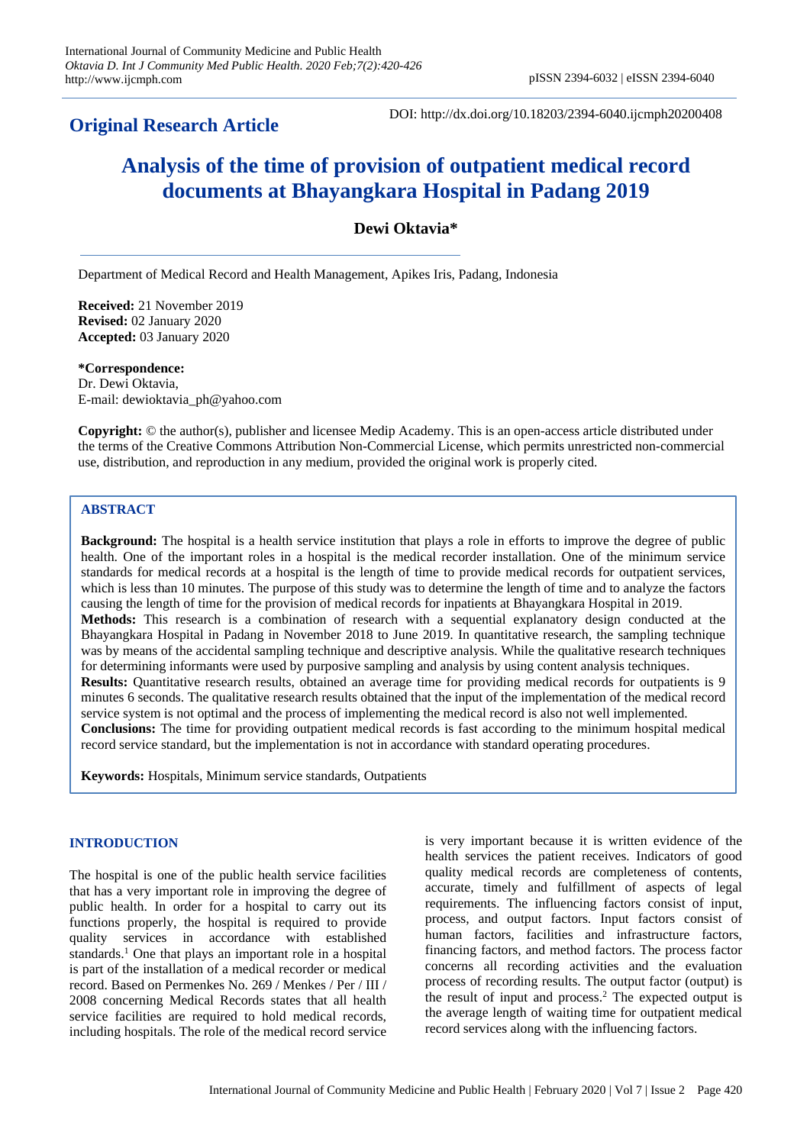## **Original Research Article**

DOI: http://dx.doi.org/10.18203/2394-6040.ijcmph20200408

# **Analysis of the time of provision of outpatient medical record documents at Bhayangkara Hospital in Padang 2019**

## **Dewi Oktavia\***

Department of Medical Record and Health Management, Apikes Iris, Padang, Indonesia

**Received:** 21 November 2019 **Revised:** 02 January 2020 **Accepted:** 03 January 2020

**\*Correspondence:** Dr. Dewi Oktavia, E-mail: dewioktavia\_ph@yahoo.com

**Copyright:** © the author(s), publisher and licensee Medip Academy. This is an open-access article distributed under the terms of the Creative Commons Attribution Non-Commercial License, which permits unrestricted non-commercial use, distribution, and reproduction in any medium, provided the original work is properly cited.

## **ABSTRACT**

**Background:** The hospital is a health service institution that plays a role in efforts to improve the degree of public health. One of the important roles in a hospital is the medical recorder installation. One of the minimum service standards for medical records at a hospital is the length of time to provide medical records for outpatient services, which is less than 10 minutes. The purpose of this study was to determine the length of time and to analyze the factors causing the length of time for the provision of medical records for inpatients at Bhayangkara Hospital in 2019. **Methods:** This research is a combination of research with a sequential explanatory design conducted at the Bhayangkara Hospital in Padang in November 2018 to June 2019. In quantitative research, the sampling technique was by means of the accidental sampling technique and descriptive analysis. While the qualitative research techniques for determining informants were used by purposive sampling and analysis by using content analysis techniques. **Results:** Quantitative research results, obtained an average time for providing medical records for outpatients is 9 minutes 6 seconds. The qualitative research results obtained that the input of the implementation of the medical record service system is not optimal and the process of implementing the medical record is also not well implemented. **Conclusions:** The time for providing outpatient medical records is fast according to the minimum hospital medical record service standard, but the implementation is not in accordance with standard operating procedures.

**Keywords:** Hospitals, Minimum service standards, Outpatients

#### **INTRODUCTION**

The hospital is one of the public health service facilities that has a very important role in improving the degree of public health. In order for a hospital to carry out its functions properly, the hospital is required to provide quality services in accordance with established standards.<sup>1</sup> One that plays an important role in a hospital is part of the installation of a medical recorder or medical record. Based on Permenkes No. 269 / Menkes / Per / III / 2008 concerning Medical Records states that all health service facilities are required to hold medical records, including hospitals. The role of the medical record service

is very important because it is written evidence of the health services the patient receives. Indicators of good quality medical records are completeness of contents, accurate, timely and fulfillment of aspects of legal requirements. The influencing factors consist of input, process, and output factors. Input factors consist of human factors, facilities and infrastructure factors, financing factors, and method factors. The process factor concerns all recording activities and the evaluation process of recording results. The output factor (output) is the result of input and process.<sup>2</sup> The expected output is the average length of waiting time for outpatient medical record services along with the influencing factors.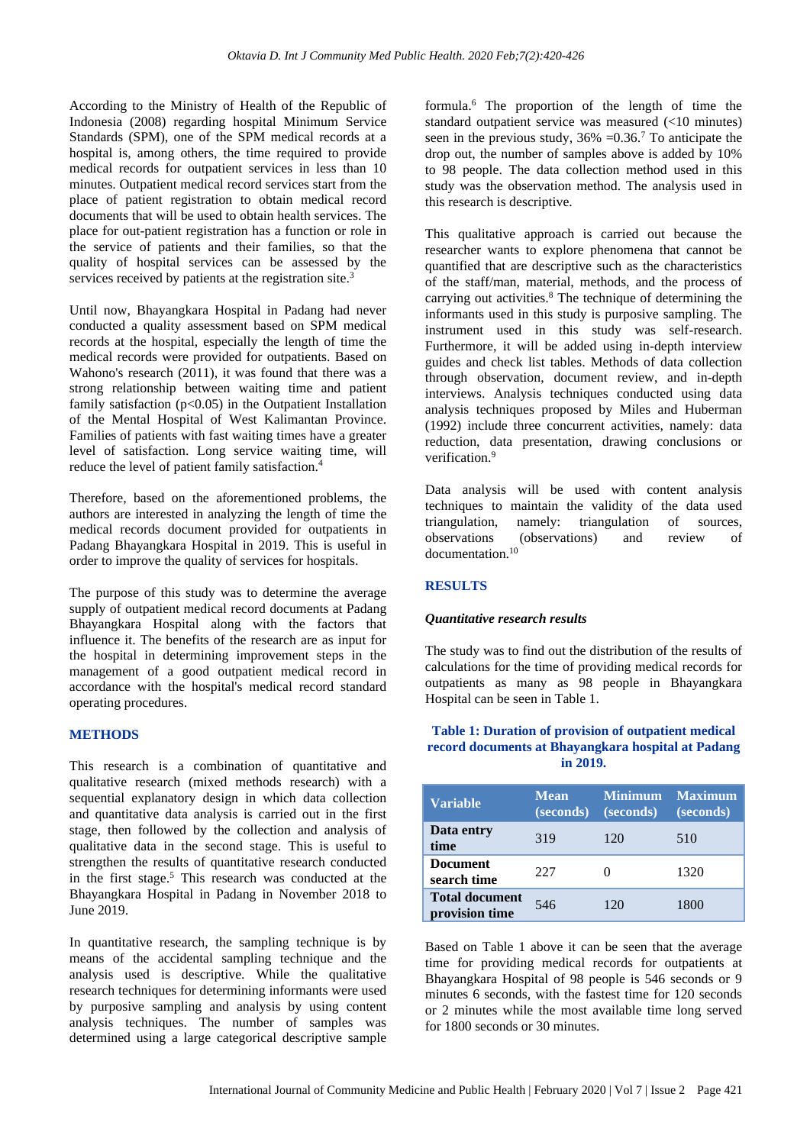According to the Ministry of Health of the Republic of Indonesia (2008) regarding hospital Minimum Service Standards (SPM), one of the SPM medical records at a hospital is, among others, the time required to provide medical records for outpatient services in less than 10 minutes. Outpatient medical record services start from the place of patient registration to obtain medical record documents that will be used to obtain health services. The place for out-patient registration has a function or role in the service of patients and their families, so that the quality of hospital services can be assessed by the services received by patients at the registration site.<sup>3</sup>

Until now, Bhayangkara Hospital in Padang had never conducted a quality assessment based on SPM medical records at the hospital, especially the length of time the medical records were provided for outpatients. Based on Wahono's research (2011), it was found that there was a strong relationship between waiting time and patient family satisfaction  $(p<0.05)$  in the Outpatient Installation of the Mental Hospital of West Kalimantan Province. Families of patients with fast waiting times have a greater level of satisfaction. Long service waiting time, will reduce the level of patient family satisfaction.<sup>4</sup>

Therefore, based on the aforementioned problems, the authors are interested in analyzing the length of time the medical records document provided for outpatients in Padang Bhayangkara Hospital in 2019. This is useful in order to improve the quality of services for hospitals.

The purpose of this study was to determine the average supply of outpatient medical record documents at Padang Bhayangkara Hospital along with the factors that influence it. The benefits of the research are as input for the hospital in determining improvement steps in the management of a good outpatient medical record in accordance with the hospital's medical record standard operating procedures.

#### **METHODS**

This research is a combination of quantitative and qualitative research (mixed methods research) with a sequential explanatory design in which data collection and quantitative data analysis is carried out in the first stage, then followed by the collection and analysis of qualitative data in the second stage. This is useful to strengthen the results of quantitative research conducted in the first stage.<sup>5</sup> This research was conducted at the Bhayangkara Hospital in Padang in November 2018 to June 2019.

In quantitative research, the sampling technique is by means of the accidental sampling technique and the analysis used is descriptive. While the qualitative research techniques for determining informants were used by purposive sampling and analysis by using content analysis techniques. The number of samples was determined using a large categorical descriptive sample

formula.<sup>6</sup> The proportion of the length of time the standard outpatient service was measured (<10 minutes) seen in the previous study,  $36\% = 0.36$ .<sup>7</sup> To anticipate the drop out, the number of samples above is added by 10% to 98 people. The data collection method used in this study was the observation method. The analysis used in this research is descriptive.

This qualitative approach is carried out because the researcher wants to explore phenomena that cannot be quantified that are descriptive such as the characteristics of the staff/man, material, methods, and the process of carrying out activities.<sup>8</sup> The technique of determining the informants used in this study is purposive sampling. The instrument used in this study was self-research. Furthermore, it will be added using in-depth interview guides and check list tables. Methods of data collection through observation, document review, and in-depth interviews. Analysis techniques conducted using data analysis techniques proposed by Miles and Huberman (1992) include three concurrent activities, namely: data reduction, data presentation, drawing conclusions or verification.<sup>9</sup>

Data analysis will be used with content analysis techniques to maintain the validity of the data used triangulation, namely: triangulation of sources, observations (observations) and review of documentation.<sup>10</sup>

## **RESULTS**

#### *Quantitative research results*

The study was to find out the distribution of the results of calculations for the time of providing medical records for outpatients as many as 98 people in Bhayangkara Hospital can be seen in Table 1.

## **Table 1: Duration of provision of outpatient medical record documents at Bhayangkara hospital at Padang in 2019.**

| <b>Variable</b>                         | <b>Mean</b><br>(seconds) | <b>Minimum</b><br>(seconds) | <b>Maximum</b><br>(seconds) |
|-----------------------------------------|--------------------------|-----------------------------|-----------------------------|
| Data entry<br>time                      | 319                      | 120                         | 510                         |
| <b>Document</b><br>search time          | 227                      |                             | 1320                        |
| <b>Total document</b><br>provision time | 546                      | 120                         | 1800                        |

Based on Table 1 above it can be seen that the average time for providing medical records for outpatients at Bhayangkara Hospital of 98 people is 546 seconds or 9 minutes 6 seconds, with the fastest time for 120 seconds or 2 minutes while the most available time long served for 1800 seconds or 30 minutes.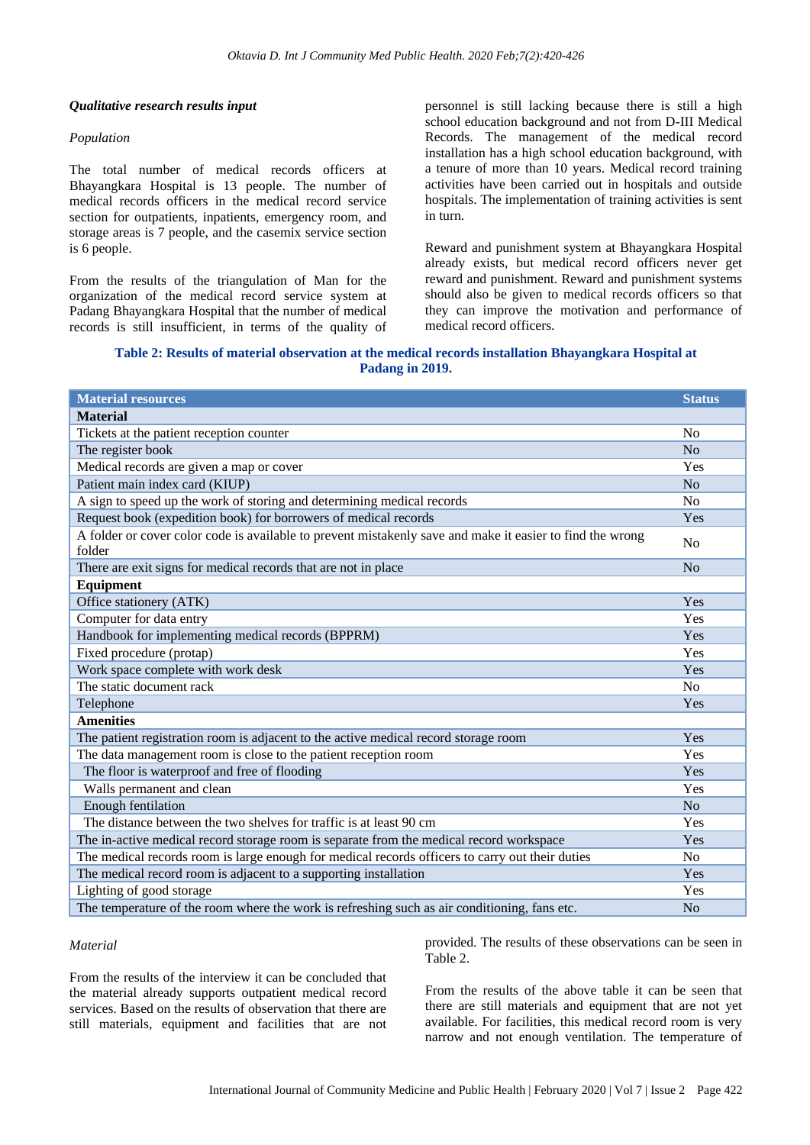#### *Qualitative research results input*

#### *Population*

The total number of medical records officers at Bhayangkara Hospital is 13 people. The number of medical records officers in the medical record service section for outpatients, inpatients, emergency room, and storage areas is 7 people, and the casemix service section is 6 people.

From the results of the triangulation of Man for the organization of the medical record service system at Padang Bhayangkara Hospital that the number of medical records is still insufficient, in terms of the quality of

personnel is still lacking because there is still a high school education background and not from D-III Medical Records. The management of the medical record installation has a high school education background, with a tenure of more than 10 years. Medical record training activities have been carried out in hospitals and outside hospitals. The implementation of training activities is sent in turn.

Reward and punishment system at Bhayangkara Hospital already exists, but medical record officers never get reward and punishment. Reward and punishment systems should also be given to medical records officers so that they can improve the motivation and performance of medical record officers.

**Table 2: Results of material observation at the medical records installation Bhayangkara Hospital at Padang in 2019.**

| <b>Material resources</b>                                                                                           | <b>Status</b>  |
|---------------------------------------------------------------------------------------------------------------------|----------------|
| <b>Material</b>                                                                                                     |                |
| Tickets at the patient reception counter                                                                            | No             |
| The register book                                                                                                   | N <sub>o</sub> |
| Medical records are given a map or cover                                                                            | Yes            |
| Patient main index card (KIUP)                                                                                      | No             |
| A sign to speed up the work of storing and determining medical records                                              | N <sub>o</sub> |
| Request book (expedition book) for borrowers of medical records                                                     | Yes            |
| A folder or cover color code is available to prevent mistakenly save and make it easier to find the wrong<br>folder | N <sub>0</sub> |
| There are exit signs for medical records that are not in place                                                      | No             |
| Equipment                                                                                                           |                |
| Office stationery (ATK)                                                                                             | Yes            |
| Computer for data entry                                                                                             | Yes            |
| Handbook for implementing medical records (BPPRM)                                                                   | Yes            |
| Fixed procedure (protap)                                                                                            | Yes            |
| Work space complete with work desk                                                                                  | Yes            |
| The static document rack                                                                                            | N <sub>o</sub> |
| Telephone                                                                                                           | <b>Yes</b>     |
| <b>Amenities</b>                                                                                                    |                |
| The patient registration room is adjacent to the active medical record storage room                                 | <b>Yes</b>     |
| The data management room is close to the patient reception room                                                     | Yes            |
| The floor is waterproof and free of flooding                                                                        | Yes            |
| Walls permanent and clean                                                                                           | Yes            |
| Enough fentilation                                                                                                  | No             |
| The distance between the two shelves for traffic is at least 90 cm                                                  | <b>Yes</b>     |
| The in-active medical record storage room is separate from the medical record workspace                             |                |
| The medical records room is large enough for medical records officers to carry out their duties                     |                |
| The medical record room is adjacent to a supporting installation                                                    |                |
| Lighting of good storage                                                                                            |                |
| The temperature of the room where the work is refreshing such as air conditioning, fans etc.                        |                |

#### *Material*

From the results of the interview it can be concluded that the material already supports outpatient medical record services. Based on the results of observation that there are still materials, equipment and facilities that are not

provided. The results of these observations can be seen in Table 2.

From the results of the above table it can be seen that there are still materials and equipment that are not yet available. For facilities, this medical record room is very narrow and not enough ventilation. The temperature of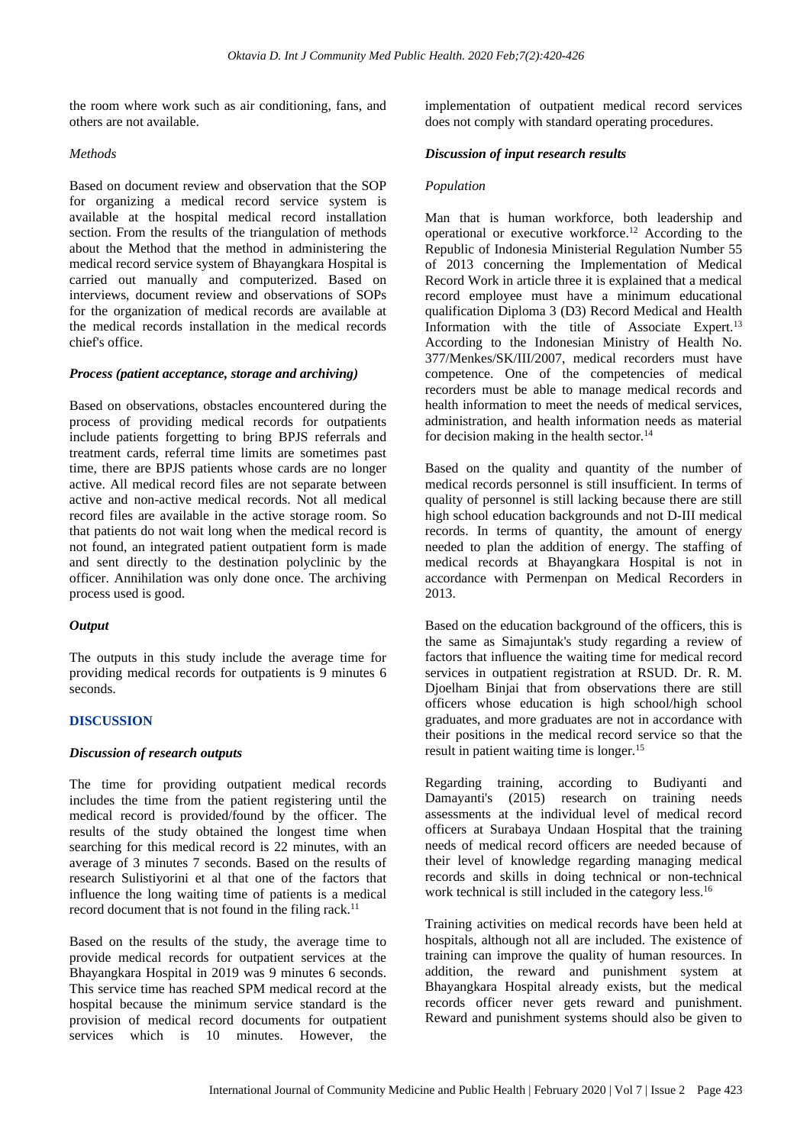the room where work such as air conditioning, fans, and others are not available.

#### *Methods*

Based on document review and observation that the SOP for organizing a medical record service system is available at the hospital medical record installation section. From the results of the triangulation of methods about the Method that the method in administering the medical record service system of Bhayangkara Hospital is carried out manually and computerized. Based on interviews, document review and observations of SOPs for the organization of medical records are available at the medical records installation in the medical records chief's office.

#### *Process (patient acceptance, storage and archiving)*

Based on observations, obstacles encountered during the process of providing medical records for outpatients include patients forgetting to bring BPJS referrals and treatment cards, referral time limits are sometimes past time, there are BPJS patients whose cards are no longer active. All medical record files are not separate between active and non-active medical records. Not all medical record files are available in the active storage room. So that patients do not wait long when the medical record is not found, an integrated patient outpatient form is made and sent directly to the destination polyclinic by the officer. Annihilation was only done once. The archiving process used is good.

#### *Output*

The outputs in this study include the average time for providing medical records for outpatients is 9 minutes 6 seconds.

#### **DISCUSSION**

#### *Discussion of research outputs*

The time for providing outpatient medical records includes the time from the patient registering until the medical record is provided/found by the officer. The results of the study obtained the longest time when searching for this medical record is 22 minutes, with an average of 3 minutes 7 seconds. Based on the results of research Sulistiyorini et al that one of the factors that influence the long waiting time of patients is a medical record document that is not found in the filing rack.<sup>11</sup>

Based on the results of the study, the average time to provide medical records for outpatient services at the Bhayangkara Hospital in 2019 was 9 minutes 6 seconds. This service time has reached SPM medical record at the hospital because the minimum service standard is the provision of medical record documents for outpatient services which is 10 minutes. However, the

implementation of outpatient medical record services does not comply with standard operating procedures.

#### *Discussion of input research results*

#### *Population*

Man that is human workforce, both leadership and operational or executive workforce.<sup>12</sup> According to the Republic of Indonesia Ministerial Regulation Number 55 of 2013 concerning the Implementation of Medical Record Work in article three it is explained that a medical record employee must have a minimum educational qualification Diploma 3 (D3) Record Medical and Health Information with the title of Associate Expert.<sup>13</sup> According to the Indonesian Ministry of Health No. 377/Menkes/SK/III/2007, medical recorders must have competence. One of the competencies of medical recorders must be able to manage medical records and health information to meet the needs of medical services, administration, and health information needs as material for decision making in the health sector.<sup>14</sup>

Based on the quality and quantity of the number of medical records personnel is still insufficient. In terms of quality of personnel is still lacking because there are still high school education backgrounds and not D-III medical records. In terms of quantity, the amount of energy needed to plan the addition of energy. The staffing of medical records at Bhayangkara Hospital is not in accordance with Permenpan on Medical Recorders in 2013.

Based on the education background of the officers, this is the same as Simajuntak's study regarding a review of factors that influence the waiting time for medical record services in outpatient registration at RSUD. Dr. R. M. Djoelham Binjai that from observations there are still officers whose education is high school/high school graduates, and more graduates are not in accordance with their positions in the medical record service so that the result in patient waiting time is longer.<sup>15</sup>

Regarding training, according to Budiyanti and Damayanti's (2015) research on training needs assessments at the individual level of medical record officers at Surabaya Undaan Hospital that the training needs of medical record officers are needed because of their level of knowledge regarding managing medical records and skills in doing technical or non-technical work technical is still included in the category less.<sup>16</sup>

Training activities on medical records have been held at hospitals, although not all are included. The existence of training can improve the quality of human resources. In addition, the reward and punishment system at Bhayangkara Hospital already exists, but the medical records officer never gets reward and punishment. Reward and punishment systems should also be given to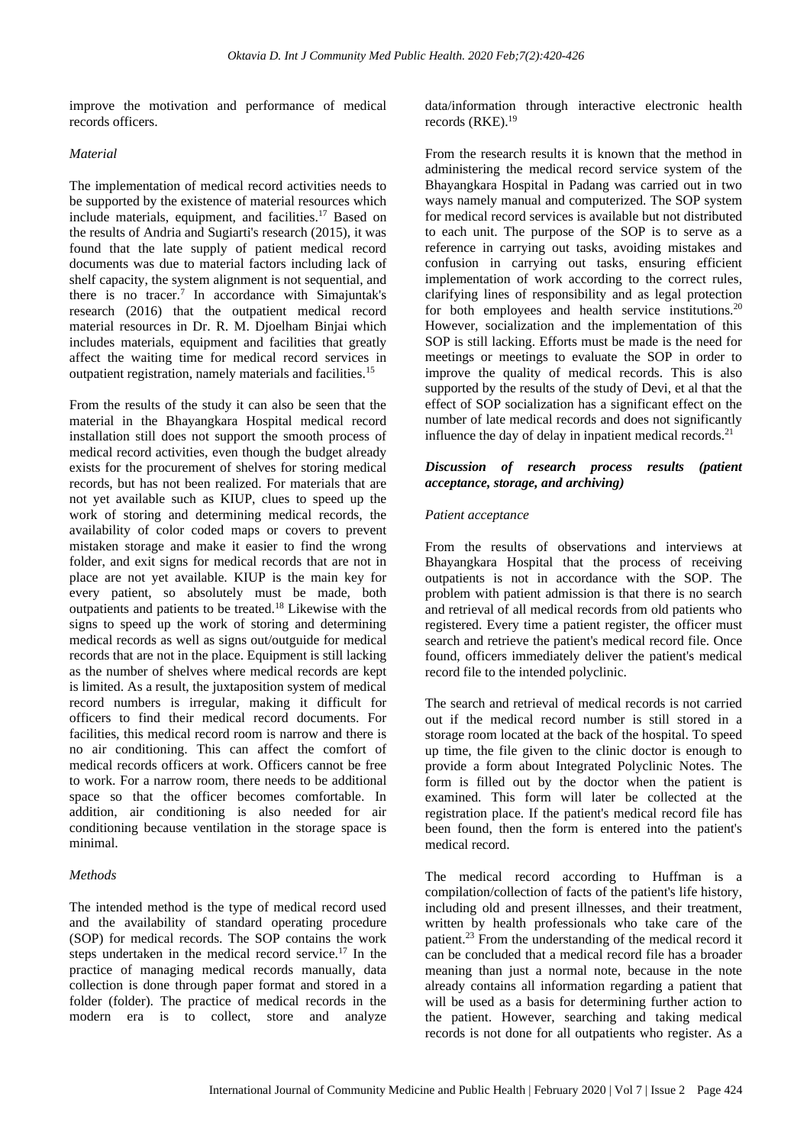improve the motivation and performance of medical records officers.

#### *Material*

The implementation of medical record activities needs to be supported by the existence of material resources which include materials, equipment, and facilities.<sup>17</sup> Based on the results of Andria and Sugiarti's research (2015), it was found that the late supply of patient medical record documents was due to material factors including lack of shelf capacity, the system alignment is not sequential, and there is no tracer.<sup>7</sup> In accordance with Simajuntak's research (2016) that the outpatient medical record material resources in Dr. R. M. Djoelham Binjai which includes materials, equipment and facilities that greatly affect the waiting time for medical record services in outpatient registration, namely materials and facilities.<sup>15</sup>

From the results of the study it can also be seen that the material in the Bhayangkara Hospital medical record installation still does not support the smooth process of medical record activities, even though the budget already exists for the procurement of shelves for storing medical records, but has not been realized. For materials that are not yet available such as KIUP, clues to speed up the work of storing and determining medical records, the availability of color coded maps or covers to prevent mistaken storage and make it easier to find the wrong folder, and exit signs for medical records that are not in place are not yet available. KIUP is the main key for every patient, so absolutely must be made, both outpatients and patients to be treated.<sup>18</sup> Likewise with the signs to speed up the work of storing and determining medical records as well as signs out/outguide for medical records that are not in the place. Equipment is still lacking as the number of shelves where medical records are kept is limited. As a result, the juxtaposition system of medical record numbers is irregular, making it difficult for officers to find their medical record documents. For facilities, this medical record room is narrow and there is no air conditioning. This can affect the comfort of medical records officers at work. Officers cannot be free to work. For a narrow room, there needs to be additional space so that the officer becomes comfortable. In addition, air conditioning is also needed for air conditioning because ventilation in the storage space is minimal.

#### *Methods*

The intended method is the type of medical record used and the availability of standard operating procedure (SOP) for medical records. The SOP contains the work steps undertaken in the medical record service.<sup>17</sup> In the practice of managing medical records manually, data collection is done through paper format and stored in a folder (folder). The practice of medical records in the modern era is to collect, store and analyze

data/information through interactive electronic health records (RKE).<sup>19</sup>

From the research results it is known that the method in administering the medical record service system of the Bhayangkara Hospital in Padang was carried out in two ways namely manual and computerized. The SOP system for medical record services is available but not distributed to each unit. The purpose of the SOP is to serve as a reference in carrying out tasks, avoiding mistakes and confusion in carrying out tasks, ensuring efficient implementation of work according to the correct rules, clarifying lines of responsibility and as legal protection for both employees and health service institutions.<sup>20</sup> However, socialization and the implementation of this SOP is still lacking. Efforts must be made is the need for meetings or meetings to evaluate the SOP in order to improve the quality of medical records. This is also supported by the results of the study of Devi, et al that the effect of SOP socialization has a significant effect on the number of late medical records and does not significantly influence the day of delay in inpatient medical records.<sup>21</sup>

## *Discussion of research process results (patient acceptance, storage, and archiving)*

#### *Patient acceptance*

From the results of observations and interviews at Bhayangkara Hospital that the process of receiving outpatients is not in accordance with the SOP. The problem with patient admission is that there is no search and retrieval of all medical records from old patients who registered. Every time a patient register, the officer must search and retrieve the patient's medical record file. Once found, officers immediately deliver the patient's medical record file to the intended polyclinic.

The search and retrieval of medical records is not carried out if the medical record number is still stored in a storage room located at the back of the hospital. To speed up time, the file given to the clinic doctor is enough to provide a form about Integrated Polyclinic Notes. The form is filled out by the doctor when the patient is examined. This form will later be collected at the registration place. If the patient's medical record file has been found, then the form is entered into the patient's medical record.

The medical record according to Huffman is a compilation/collection of facts of the patient's life history, including old and present illnesses, and their treatment, written by health professionals who take care of the patient.<sup>23</sup> From the understanding of the medical record it can be concluded that a medical record file has a broader meaning than just a normal note, because in the note already contains all information regarding a patient that will be used as a basis for determining further action to the patient. However, searching and taking medical records is not done for all outpatients who register. As a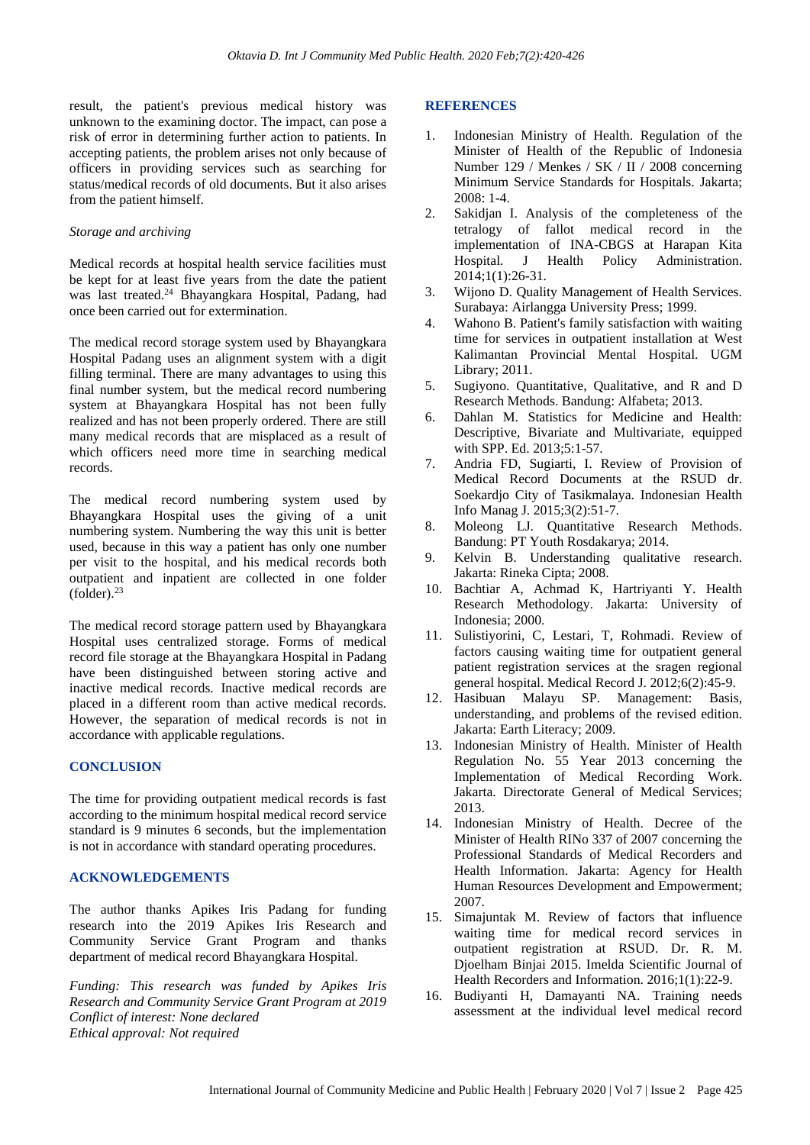result, the patient's previous medical history was unknown to the examining doctor. The impact, can pose a risk of error in determining further action to patients. In accepting patients, the problem arises not only because of officers in providing services such as searching for status/medical records of old documents. But it also arises from the patient himself.

#### *Storage and archiving*

Medical records at hospital health service facilities must be kept for at least five years from the date the patient was last treated.<sup>24</sup> Bhayangkara Hospital, Padang, had once been carried out for extermination.

The medical record storage system used by Bhayangkara Hospital Padang uses an alignment system with a digit filling terminal. There are many advantages to using this final number system, but the medical record numbering system at Bhayangkara Hospital has not been fully realized and has not been properly ordered. There are still many medical records that are misplaced as a result of which officers need more time in searching medical records.

The medical record numbering system used by Bhayangkara Hospital uses the giving of a unit numbering system. Numbering the way this unit is better used, because in this way a patient has only one number per visit to the hospital, and his medical records both outpatient and inpatient are collected in one folder  $(folder)<sup>23</sup>$ 

The medical record storage pattern used by Bhayangkara Hospital uses centralized storage. Forms of medical record file storage at the Bhayangkara Hospital in Padang have been distinguished between storing active and inactive medical records. Inactive medical records are placed in a different room than active medical records. However, the separation of medical records is not in accordance with applicable regulations.

## **CONCLUSION**

The time for providing outpatient medical records is fast according to the minimum hospital medical record service standard is 9 minutes 6 seconds, but the implementation is not in accordance with standard operating procedures.

#### **ACKNOWLEDGEMENTS**

The author thanks Apikes Iris Padang for funding research into the 2019 Apikes Iris Research and Community Service Grant Program and thanks department of medical record Bhayangkara Hospital.

*Funding: This research was funded by Apikes Iris Research and Community Service Grant Program at 2019 Conflict of interest: None declared Ethical approval: Not required*

#### **REFERENCES**

- 1. Indonesian Ministry of Health. Regulation of the Minister of Health of the Republic of Indonesia Number 129 / Menkes / SK / II / 2008 concerning Minimum Service Standards for Hospitals. Jakarta; 2008: 1-4.
- 2. Sakidjan I. Analysis of the completeness of the tetralogy of fallot medical record in the implementation of INA-CBGS at Harapan Kita Hospital. J Health Policy Administration. 2014;1(1):26-31.
- 3. Wijono D. Quality Management of Health Services. Surabaya: Airlangga University Press; 1999.
- 4. Wahono B. Patient's family satisfaction with waiting time for services in outpatient installation at West Kalimantan Provincial Mental Hospital. UGM Library; 2011.
- 5. Sugiyono. Quantitative, Qualitative, and R and D Research Methods. Bandung: Alfabeta; 2013.
- 6. Dahlan M. Statistics for Medicine and Health: Descriptive, Bivariate and Multivariate, equipped with SPP. Ed. 2013;5:1-57.
- 7. Andria FD, Sugiarti, I. Review of Provision of Medical Record Documents at the RSUD dr. Soekardjo City of Tasikmalaya. Indonesian Health Info Manag J. 2015;3(2):51-7.
- 8. Moleong LJ. Quantitative Research Methods. Bandung: PT Youth Rosdakarya; 2014.
- 9. Kelvin B. Understanding qualitative research. Jakarta: Rineka Cipta; 2008.
- 10. Bachtiar A, Achmad K, Hartriyanti Y. Health Research Methodology. Jakarta: University of Indonesia; 2000.
- 11. Sulistiyorini, C, Lestari, T, Rohmadi. Review of factors causing waiting time for outpatient general patient registration services at the sragen regional general hospital. Medical Record J. 2012;6(2):45-9.
- 12. Hasibuan Malayu SP. Management: Basis, understanding, and problems of the revised edition. Jakarta: Earth Literacy; 2009.
- 13. Indonesian Ministry of Health. Minister of Health Regulation No. 55 Year 2013 concerning the Implementation of Medical Recording Work. Jakarta. Directorate General of Medical Services; 2013.
- 14. Indonesian Ministry of Health. Decree of the Minister of Health RINo 337 of 2007 concerning the Professional Standards of Medical Recorders and Health Information. Jakarta: Agency for Health Human Resources Development and Empowerment; 2007.
- 15. Simajuntak M. Review of factors that influence waiting time for medical record services in outpatient registration at RSUD. Dr. R. M. Djoelham Binjai 2015. Imelda Scientific Journal of Health Recorders and Information. 2016;1(1):22-9.
- 16. Budiyanti H, Damayanti NA. Training needs assessment at the individual level medical record